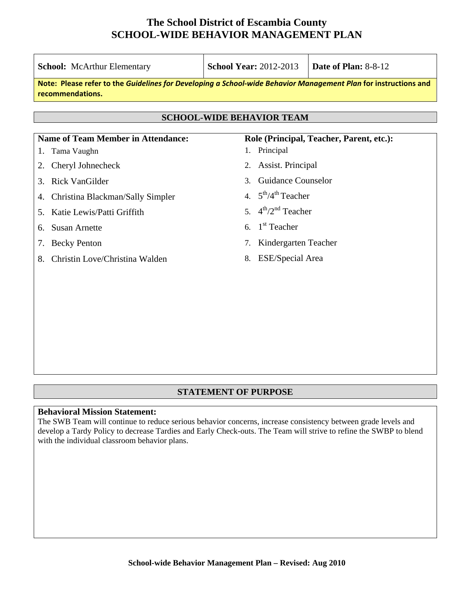| <b>School:</b> McArthur Elementary                                                                                                  | <b>School Year: 2012-2013</b><br>Date of Plan: 8-8-12       |  |  |  |  |  |  |
|-------------------------------------------------------------------------------------------------------------------------------------|-------------------------------------------------------------|--|--|--|--|--|--|
| Note: Please refer to the Guidelines for Developing a School-wide Behavior Management Plan for instructions and<br>recommendations. |                                                             |  |  |  |  |  |  |
| <b>SCHOOL-WIDE BEHAVIOR TEAM</b>                                                                                                    |                                                             |  |  |  |  |  |  |
| <b>Name of Team Member in Attendance:</b><br>Tama Vaughn<br>1.                                                                      | Role (Principal, Teacher, Parent, etc.):<br>Principal<br>1. |  |  |  |  |  |  |
| Cheryl Johnecheck<br>2.                                                                                                             | Assist. Principal<br>2.                                     |  |  |  |  |  |  |
| Rick VanGilder<br>3.                                                                                                                | <b>Guidance Counselor</b><br>$\mathcal{E}$                  |  |  |  |  |  |  |
| Christina Blackman/Sally Simpler<br>4.                                                                                              | 4. $5^{\text{th}}/4^{\text{th}}$ Teacher                    |  |  |  |  |  |  |
| Katie Lewis/Patti Griffith<br>5.                                                                                                    | 5. $4^{th}/2^{nd}$ Teacher                                  |  |  |  |  |  |  |
| <b>Susan Arnette</b><br>6.                                                                                                          | 6. $1st$ Teacher                                            |  |  |  |  |  |  |
| <b>Becky Penton</b><br>7.                                                                                                           | Kindergarten Teacher<br>7.                                  |  |  |  |  |  |  |
| Christin Love/Christina Walden<br>8.                                                                                                | <b>ESE/Special Area</b><br>8.                               |  |  |  |  |  |  |
|                                                                                                                                     |                                                             |  |  |  |  |  |  |
|                                                                                                                                     |                                                             |  |  |  |  |  |  |

## **STATEMENT OF PURPOSE**

### **Behavioral Mission Statement:**

The SWB Team will continue to reduce serious behavior concerns, increase consistency between grade levels and develop a Tardy Policy to decrease Tardies and Early Check-outs. The Team will strive to refine the SWBP to blend with the individual classroom behavior plans.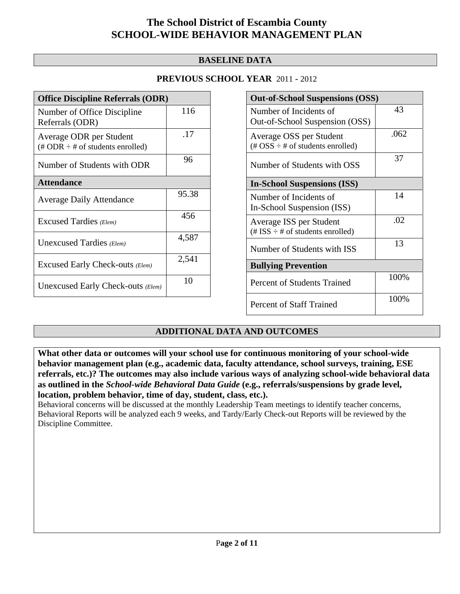## **BASELINE DATA**

## **PREVIOUS SCHOOL YEAR** 2011 - 2012

| <b>Office Discipline Referrals (ODR)</b>                                         |       |  |  |  |
|----------------------------------------------------------------------------------|-------|--|--|--|
| Number of Office Discipline<br>Referrals (ODR)                                   | 116   |  |  |  |
| Average ODR per Student<br>$(\text{\# ODR} \div \text{\# of students enrolled})$ | .17   |  |  |  |
| Number of Students with ODR                                                      | 96    |  |  |  |
| <b>Attendance</b>                                                                |       |  |  |  |
| <b>Average Daily Attendance</b>                                                  | 95.38 |  |  |  |
| Excused Tardies (Elem)                                                           | 456   |  |  |  |
| Unexcused Tardies (Elem)                                                         | 4,587 |  |  |  |
| Excused Early Check-outs (Elem)                                                  | 2,541 |  |  |  |
| Unexcused Early Check-outs (Elem)                                                | 10    |  |  |  |

| <b>Out-of-School Suspensions (OSS)</b>                                                          |      |  |  |  |  |
|-------------------------------------------------------------------------------------------------|------|--|--|--|--|
| Number of Incidents of<br>Out-of-School Suspension (OSS)                                        | 43   |  |  |  |  |
| Average OSS per Student<br>$(\text{\#} \text{OSS} \div \text{\#} \text{ of students enrolled})$ | .062 |  |  |  |  |
| Number of Students with OSS                                                                     | 37   |  |  |  |  |
| <b>In-School Suspensions (ISS)</b>                                                              |      |  |  |  |  |
| Number of Incidents of<br>In-School Suspension (ISS)                                            | 14   |  |  |  |  |
| Average ISS per Student<br>$(\# ISS \div \# of students enrolled)$                              | .02  |  |  |  |  |
| Number of Students with ISS                                                                     | 13   |  |  |  |  |
| <b>Bullying Prevention</b>                                                                      |      |  |  |  |  |
| <b>Percent of Students Trained</b>                                                              | 100% |  |  |  |  |
| <b>Percent of Staff Trained</b>                                                                 | 100% |  |  |  |  |

# **ADDITIONAL DATA AND OUTCOMES**

**What other data or outcomes will your school use for continuous monitoring of your school-wide behavior management plan (e.g., academic data, faculty attendance, school surveys, training, ESE referrals, etc.)? The outcomes may also include various ways of analyzing school-wide behavioral data as outlined in the** *School-wide Behavioral Data Guide* **(e.g., referrals/suspensions by grade level, location, problem behavior, time of day, student, class, etc.).**

Behavioral concerns will be discussed at the monthly Leadership Team meetings to identify teacher concerns, Behavioral Reports will be analyzed each 9 weeks, and Tardy/Early Check-out Reports will be reviewed by the Discipline Committee.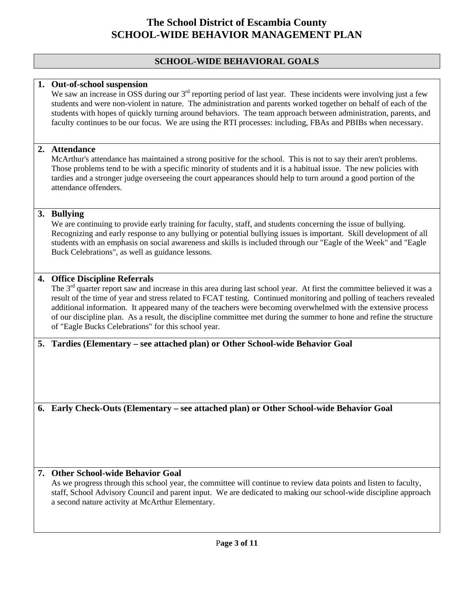## **SCHOOL-WIDE BEHAVIORAL GOALS**

### **1. Out-of-school suspension**

We saw an increase in OSS during our  $3<sup>rd</sup>$  reporting period of last year. These incidents were involving just a few students and were non-violent in nature. The administration and parents worked together on behalf of each of the students with hopes of quickly turning around behaviors. The team approach between administration, parents, and faculty continues to be our focus. We are using the RTI processes: including, FBAs and PBIBs when necessary.

### **2. Attendance**

McArthur's attendance has maintained a strong positive for the school. This is not to say their aren't problems. Those problems tend to be with a specific minority of students and it is a habitual issue. The new policies with tardies and a stronger judge overseeing the court appearances should help to turn around a good portion of the attendance offenders.

### **3. Bullying**

We are continuing to provide early training for faculty, staff, and students concerning the issue of bullying. Recognizing and early response to any bullying or potential bullying issues is important. Skill development of all students with an emphasis on social awareness and skills is included through our "Eagle of the Week" and "Eagle Buck Celebrations", as well as guidance lessons.

### **4. Office Discipline Referrals**

The 3<sup>rd</sup> quarter report saw and increase in this area during last school year. At first the committee believed it was a result of the time of year and stress related to FCAT testing. Continued monitoring and polling of teachers revealed additional information. It appeared many of the teachers were becoming overwhelmed with the extensive process of our discipline plan. As a result, the discipline committee met during the summer to hone and refine the structure of "Eagle Bucks Celebrations" for this school year.

### **5. Tardies (Elementary – see attached plan) or Other School-wide Behavior Goal**

**6. Early Check-Outs (Elementary – see attached plan) or Other School-wide Behavior Goal** 

### **7. Other School-wide Behavior Goal**

As we progress through this school year, the committee will continue to review data points and listen to faculty, staff, School Advisory Council and parent input. We are dedicated to making our school-wide discipline approach a second nature activity at McArthur Elementary.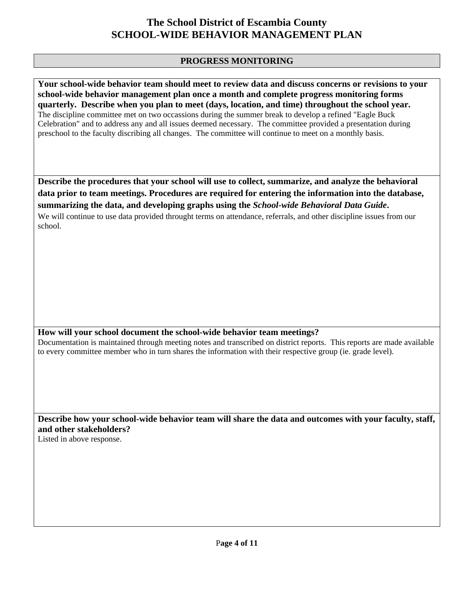## **PROGRESS MONITORING**

**Your school-wide behavior team should meet to review data and discuss concerns or revisions to your school-wide behavior management plan once a month and complete progress monitoring forms quarterly. Describe when you plan to meet (days, location, and time) throughout the school year.**  The discipline committee met on two occassions during the summer break to develop a refined "Eagle Buck Celebration" and to address any and all issues deemed necessary. The committee provided a presentation during preschool to the faculty discribing all changes. The committee will continue to meet on a monthly basis.

**Describe the procedures that your school will use to collect, summarize, and analyze the behavioral data prior to team meetings. Procedures are required for entering the information into the database, summarizing the data, and developing graphs using the** *School-wide Behavioral Data Guide***.** 

We will continue to use data provided throught terms on attendance, referrals, and other discipline issues from our school.

## **How will your school document the school-wide behavior team meetings?**

Documentation is maintained through meeting notes and transcribed on district reports. This reports are made available to every committee member who in turn shares the information with their respective group (ie. grade level).

**Describe how your school-wide behavior team will share the data and outcomes with your faculty, staff, and other stakeholders?**  Listed in above response.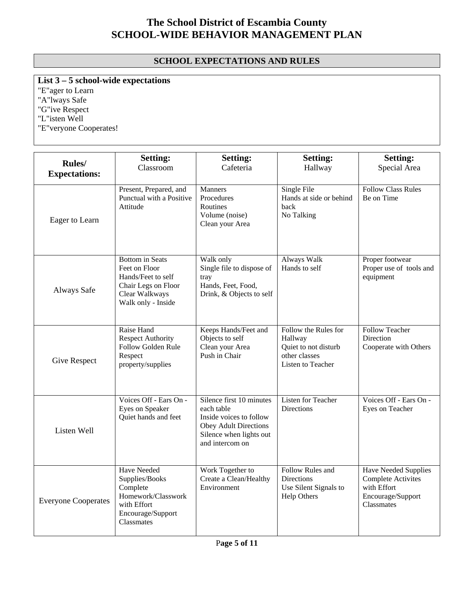# **SCHOOL EXPECTATIONS AND RULES**

**List 3 – 5 school-wide expectations**

"E"ager to Learn "A"lways Safe "G"ive Respect "L"isten Well "E"veryone Cooperates!

|                                | <b>Setting:</b>                                                                                                              | <b>Setting:</b>                                                                                                                                 | <b>Setting:</b>                                                                               | <b>Setting:</b>                                                                                            |
|--------------------------------|------------------------------------------------------------------------------------------------------------------------------|-------------------------------------------------------------------------------------------------------------------------------------------------|-----------------------------------------------------------------------------------------------|------------------------------------------------------------------------------------------------------------|
| Rules/<br><b>Expectations:</b> | Classroom                                                                                                                    | Cafeteria                                                                                                                                       | Hallway                                                                                       | Special Area                                                                                               |
| Eager to Learn                 | Present, Prepared, and<br>Punctual with a Positive<br>Attitude                                                               | <b>Manners</b><br>Procedures<br>Routines<br>Volume (noise)<br>Clean your Area                                                                   | Single File<br>Hands at side or behind<br>back<br>No Talking                                  | <b>Follow Class Rules</b><br>Be on Time                                                                    |
| Always Safe                    | <b>Bottom</b> in Seats<br>Feet on Floor<br>Hands/Feet to self<br>Chair Legs on Floor<br>Clear Walkways<br>Walk only - Inside | Walk only<br>Single file to dispose of<br>tray<br>Hands, Feet, Food,<br>Drink, & Objects to self                                                | <b>Always Walk</b><br>Hands to self                                                           | Proper footwear<br>Proper use of tools and<br>equipment                                                    |
| Give Respect                   | Raise Hand<br><b>Respect Authority</b><br>Follow Golden Rule<br>Respect<br>property/supplies                                 | Keeps Hands/Feet and<br>Objects to self<br>Clean your Area<br>Push in Chair                                                                     | Follow the Rules for<br>Hallway<br>Quiet to not disturb<br>other classes<br>Listen to Teacher | <b>Follow Teacher</b><br>Direction<br>Cooperate with Others                                                |
| Listen Well                    | Voices Off - Ears On -<br>Eyes on Speaker<br>Quiet hands and feet                                                            | Silence first 10 minutes<br>each table<br>Inside voices to follow<br><b>Obey Adult Directions</b><br>Silence when lights out<br>and intercom on | Listen for Teacher<br><b>Directions</b>                                                       | Voices Off - Ears On -<br>Eyes on Teacher                                                                  |
| <b>Everyone Cooperates</b>     | <b>Have Needed</b><br>Supplies/Books<br>Complete<br>Homework/Classwork<br>with Effort<br>Encourage/Support<br>Classmates     | Work Together to<br>Create a Clean/Healthy<br>Environment                                                                                       | Follow Rules and<br>Directions<br>Use Silent Signals to<br>Help Others                        | <b>Have Needed Supplies</b><br>Complete Activites<br>with Effort<br>Encourage/Support<br><b>Classmates</b> |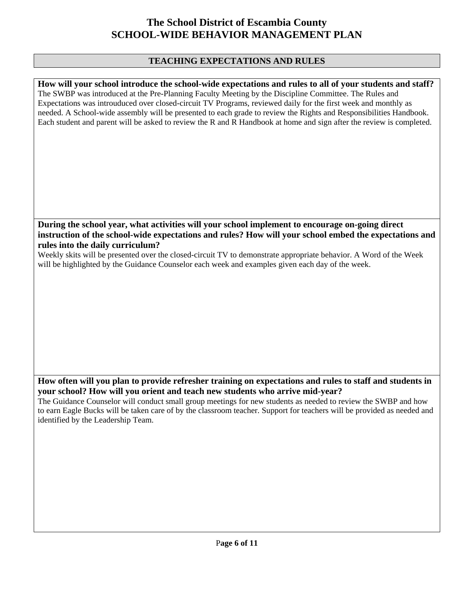## **TEACHING EXPECTATIONS AND RULES**

**How will your school introduce the school-wide expectations and rules to all of your students and staff?**  The SWBP was introduced at the Pre-Planning Faculty Meeting by the Discipline Committee. The Rules and Expectations was introuduced over closed-circuit TV Programs, reviewed daily for the first week and monthly as needed. A School-wide assembly will be presented to each grade to review the Rights and Responsibilities Handbook. Each student and parent will be asked to review the R and R Handbook at home and sign after the review is completed.

## **During the school year, what activities will your school implement to encourage on-going direct instruction of the school-wide expectations and rules? How will your school embed the expectations and rules into the daily curriculum?**

Weekly skits will be presented over the closed-circuit TV to demonstrate appropriate behavior. A Word of the Week will be highlighted by the Guidance Counselor each week and examples given each day of the week.

### **How often will you plan to provide refresher training on expectations and rules to staff and students in your school? How will you orient and teach new students who arrive mid-year?**

The Guidance Counselor will conduct small group meetings for new students as needed to review the SWBP and how to earn Eagle Bucks will be taken care of by the classroom teacher. Support for teachers will be provided as needed and identified by the Leadership Team.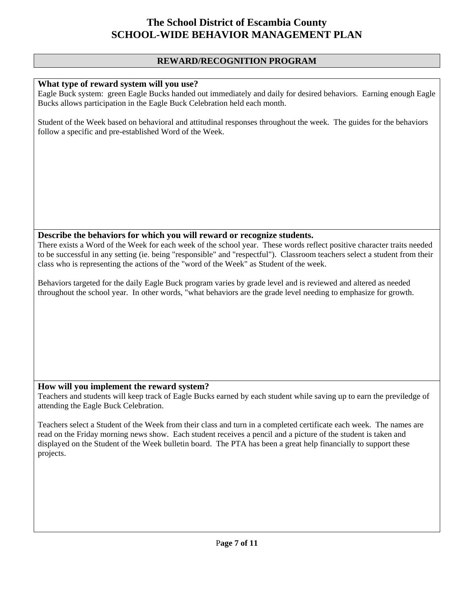### **REWARD/RECOGNITION PROGRAM**

### **What type of reward system will you use?**

Eagle Buck system: green Eagle Bucks handed out immediately and daily for desired behaviors. Earning enough Eagle Bucks allows participation in the Eagle Buck Celebration held each month.

Student of the Week based on behavioral and attitudinal responses throughout the week. The guides for the behaviors follow a specific and pre-established Word of the Week.

#### **Describe the behaviors for which you will reward or recognize students.**

There exists a Word of the Week for each week of the school year. These words reflect positive character traits needed to be successful in any setting (ie. being "responsible" and "respectful"). Classroom teachers select a student from their class who is representing the actions of the "word of the Week" as Student of the week.

Behaviors targeted for the daily Eagle Buck program varies by grade level and is reviewed and altered as needed throughout the school year. In other words, "what behaviors are the grade level needing to emphasize for growth.

### **How will you implement the reward system?**

Teachers and students will keep track of Eagle Bucks earned by each student while saving up to earn the previledge of attending the Eagle Buck Celebration.

Teachers select a Student of the Week from their class and turn in a completed certificate each week. The names are read on the Friday morning news show. Each student receives a pencil and a picture of the student is taken and displayed on the Student of the Week bulletin board. The PTA has been a great help financially to support these projects.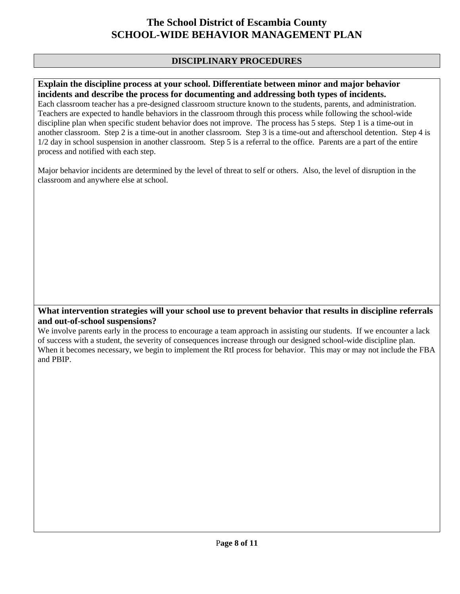## **DISCIPLINARY PROCEDURES**

### **Explain the discipline process at your school. Differentiate between minor and major behavior incidents and describe the process for documenting and addressing both types of incidents.**

Each classroom teacher has a pre-designed classroom structure known to the students, parents, and administration. Teachers are expected to handle behaviors in the classroom through this process while following the school-wide discipline plan when specific student behavior does not improve. The process has 5 steps. Step 1 is a time-out in another classroom. Step 2 is a time-out in another classroom. Step 3 is a time-out and afterschool detention. Step 4 is 1/2 day in school suspension in another classroom. Step 5 is a referral to the office. Parents are a part of the entire process and notified with each step.

Major behavior incidents are determined by the level of threat to self or others. Also, the level of disruption in the classroom and anywhere else at school.

### **What intervention strategies will your school use to prevent behavior that results in discipline referrals and out-of-school suspensions?**

We involve parents early in the process to encourage a team approach in assisting our students. If we encounter a lack of success with a student, the severity of consequences increase through our designed school-wide discipline plan. When it becomes necessary, we begin to implement the RtI process for behavior. This may or may not include the FBA and PBIP.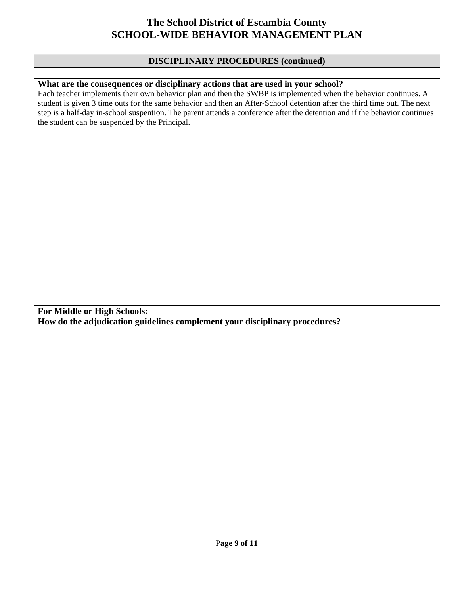### **DISCIPLINARY PROCEDURES (continued)**

### **What are the consequences or disciplinary actions that are used in your school?**

Each teacher implements their own behavior plan and then the SWBP is implemented when the behavior continues. A student is given 3 time outs for the same behavior and then an After-School detention after the third time out. The next step is a half-day in-school suspention. The parent attends a conference after the detention and if the behavior continues the student can be suspended by the Principal.

**For Middle or High Schools: How do the adjudication guidelines complement your disciplinary procedures?**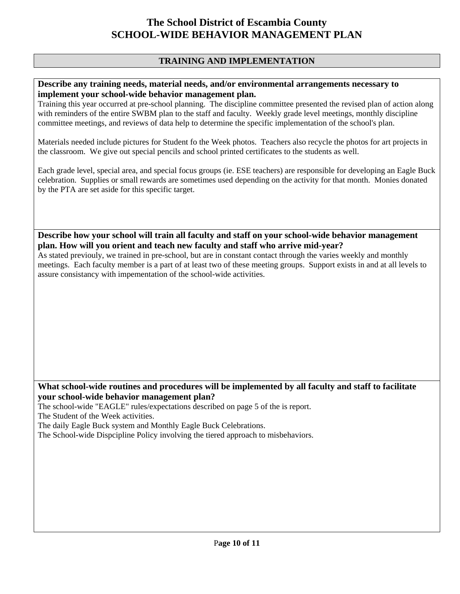## **TRAINING AND IMPLEMENTATION**

#### **Describe any training needs, material needs, and/or environmental arrangements necessary to implement your school-wide behavior management plan.**

Training this year occurred at pre-school planning. The discipline committee presented the revised plan of action along with reminders of the entire SWBM plan to the staff and faculty. Weekly grade level meetings, monthly discipline committee meetings, and reviews of data help to determine the specific implementation of the school's plan.

Materials needed include pictures for Student fo the Week photos. Teachers also recycle the photos for art projects in the classroom. We give out special pencils and school printed certificates to the students as well.

Each grade level, special area, and special focus groups (ie. ESE teachers) are responsible for developing an Eagle Buck celebration. Supplies or small rewards are sometimes used depending on the activity for that month. Monies donated by the PTA are set aside for this specific target.

**Describe how your school will train all faculty and staff on your school-wide behavior management plan. How will you orient and teach new faculty and staff who arrive mid-year?** 

As stated previouly, we trained in pre-school, but are in constant contact through the varies weekly and monthly meetings. Each faculty member is a part of at least two of these meeting groups. Support exists in and at all levels to assure consistancy with impementation of the school-wide activities.

## **What school-wide routines and procedures will be implemented by all faculty and staff to facilitate your school-wide behavior management plan?**

The school-wide "EAGLE" rules/expectations described on page 5 of the is report. The Student of the Week activities.

The daily Eagle Buck system and Monthly Eagle Buck Celebrations.

The School-wide Dispcipline Policy involving the tiered approach to misbehaviors.